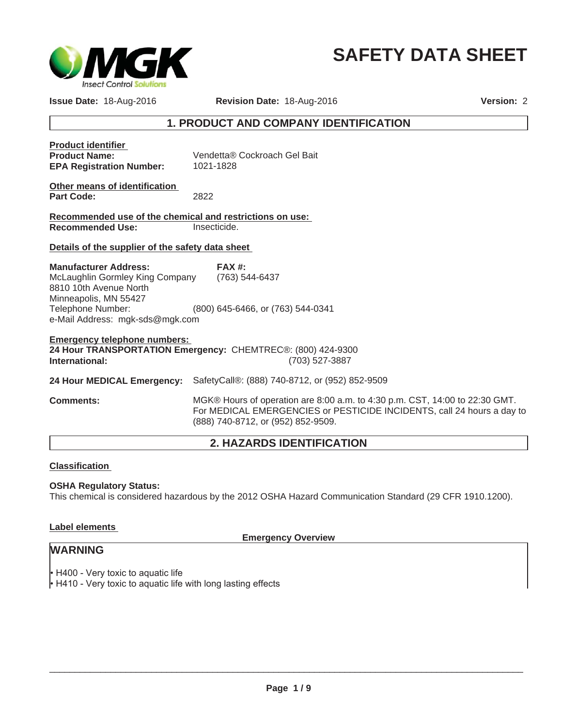

# **SAFETY DATA SHEET**

**Issue Date:** 18-Aug-2016

**Revision Date:** 18-Aug-2016

**Version:** 2

## **1. PRODUCT AND COMPANY IDENTIFICATION**

| <b>Product identifier</b><br><b>Product Name:</b><br><b>EPA Registration Number:</b>                                                                                       | Vendetta® Cockroach Gel Bait<br>1021-1828                                                                                                                                                   |  |
|----------------------------------------------------------------------------------------------------------------------------------------------------------------------------|---------------------------------------------------------------------------------------------------------------------------------------------------------------------------------------------|--|
| Other means of identification<br><b>Part Code:</b>                                                                                                                         | 2822                                                                                                                                                                                        |  |
| Recommended use of the chemical and restrictions on use:                                                                                                                   |                                                                                                                                                                                             |  |
| <b>Recommended Use:</b>                                                                                                                                                    | Insecticide.                                                                                                                                                                                |  |
| Details of the supplier of the safety data sheet                                                                                                                           |                                                                                                                                                                                             |  |
| <b>Manufacturer Address:</b><br>McLaughlin Gormley King Company<br>8810 10th Avenue North<br>Minneapolis, MN 55427<br>Telephone Number:<br>e-Mail Address: mgk-sds@mgk.com | $FAX#$ :<br>(763) 544-6437<br>(800) 645-6466, or (763) 544-0341                                                                                                                             |  |
| <b>Emergency telephone numbers:</b><br>24 Hour TRANSPORTATION Emergency: CHEMTREC®: (800) 424-9300<br>(703) 527-3887<br>International:                                     |                                                                                                                                                                                             |  |
| 24 Hour MEDICAL Emergency:                                                                                                                                                 | SafetyCall®: (888) 740-8712, or (952) 852-9509                                                                                                                                              |  |
| <b>Comments:</b>                                                                                                                                                           | MGK® Hours of operation are 8:00 a.m. to 4:30 p.m. CST, 14:00 to 22:30 GMT.<br>For MEDICAL EMERGENCIES or PESTICIDE INCIDENTS, call 24 hours a day to<br>(888) 740-8712, or (952) 852-9509. |  |

## **2. HAZARDS IDENTIFICATION**

#### **Classification**

#### **OSHA Regulatory Status:**

This chemical is considered hazardous by the 2012 OSHA Hazard Communication Standard (29 CFR 1910.1200).

#### **Label elements**

**Emergency Overview**

## **WARNING**

 $\cdot$  H400 - Very toxic to aquatic life

+ H410 - Very toxic to aquatic life with long lasting effects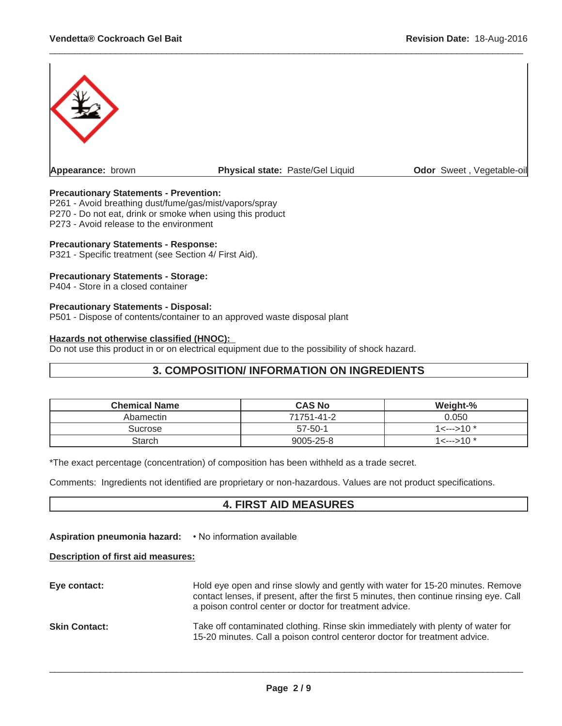

 $\_$  ,  $\_$  ,  $\_$  ,  $\_$  ,  $\_$  ,  $\_$  ,  $\_$  ,  $\_$  ,  $\_$  ,  $\_$  ,  $\_$  ,  $\_$  ,  $\_$  ,  $\_$  ,  $\_$  ,  $\_$  ,  $\_$  ,  $\_$  ,  $\_$  ,  $\_$  ,  $\_$  ,  $\_$  ,  $\_$  ,  $\_$  ,  $\_$  ,  $\_$  ,  $\_$  ,  $\_$  ,  $\_$  ,  $\_$  ,  $\_$  ,  $\_$  ,  $\_$  ,  $\_$  ,  $\_$  ,  $\_$  ,  $\_$  ,

#### **Precautionary Statements - Prevention:**

P261 - Avoid breathing dust/fume/gas/mist/vapors/spray P270 - Do not eat, drink or smoke when using this product P273 - Avoid release to the environment

#### **Precautionary Statements - Response:**

P321 - Specific treatment (see Section 4/ First Aid).

#### **Precautionary Statements - Storage:**

P404 - Store in a closed container

#### **Precautionary Statements - Disposal:**

P501 - Dispose of contents/container to an approved waste disposal plant

#### **Hazards not otherwise classified (HNOC):**

Do not use this product in or on electrical equipment due to the possibility of shock hazard.

## **3. COMPOSITION/ INFORMATION ON INGREDIENTS**

| <b>Chemical Name</b> | <b>CAS No</b>   | Weight-%           |
|----------------------|-----------------|--------------------|
| Abamectin            | 71751-41-2      | 0.050              |
| Sucrose              | $57 - 50 - 1$   | $1$ <---> $10$ $*$ |
| Starch               | $9005 - 25 - 8$ | 1<--->10 *         |

\*The exact percentage (concentration) of composition has been withheld as a trade secret.

Comments: Ingredients not identified are proprietary or non-hazardous. Values are not product specifications.

#### **4. FIRST AID MEASURES**

Aspiration pneumonia hazard: • No information available

#### **Description of first aid measures:**

**Eye contact:** Hold eye open and rinse slowly and gently with water for 15-20 minutes. Remove contact lenses, if present, after the first 5 minutes, then continue rinsing eye. Call a poison control center or doctor for treatment advice. **Skin Contact:** Take off contaminated clothing. Rinse skin immediately with plenty of water for 15-20 minutes. Call a poison control centeror doctor for treatment advice.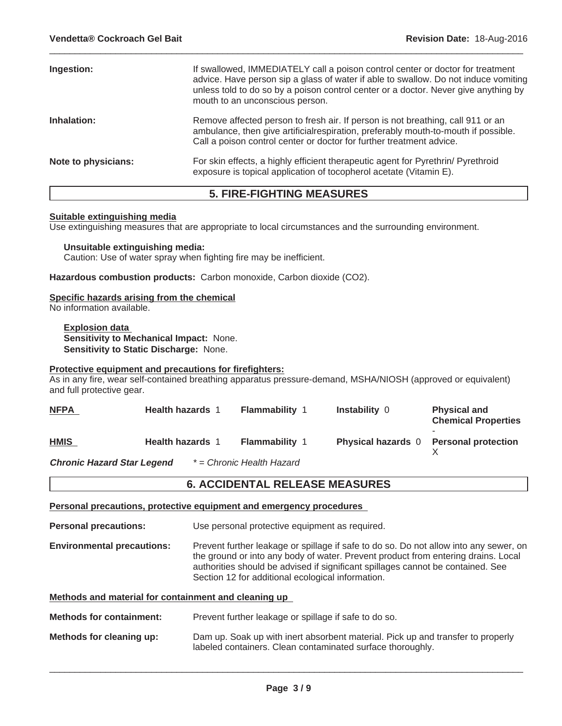| Ingestion:          | If swallowed, IMMEDIATELY call a poison control center or doctor for treatment<br>advice. Have person sip a glass of water if able to swallow. Do not induce vomiting<br>unless told to do so by a poison control center or a doctor. Never give anything by<br>mouth to an unconscious person. |
|---------------------|-------------------------------------------------------------------------------------------------------------------------------------------------------------------------------------------------------------------------------------------------------------------------------------------------|
| Inhalation:         | Remove affected person to fresh air. If person is not breathing, call 911 or an<br>ambulance, then give artificial respiration, preferably mouth-to-mouth if possible.<br>Call a poison control center or doctor for further treatment advice.                                                  |
| Note to physicians: | For skin effects, a highly efficient therapeutic agent for Pyrethrin/ Pyrethroid<br>exposure is topical application of tocopherol acetate (Vitamin E).                                                                                                                                          |

 $\_$  ,  $\_$  ,  $\_$  ,  $\_$  ,  $\_$  ,  $\_$  ,  $\_$  ,  $\_$  ,  $\_$  ,  $\_$  ,  $\_$  ,  $\_$  ,  $\_$  ,  $\_$  ,  $\_$  ,  $\_$  ,  $\_$  ,  $\_$  ,  $\_$  ,  $\_$  ,  $\_$  ,  $\_$  ,  $\_$  ,  $\_$  ,  $\_$  ,  $\_$  ,  $\_$  ,  $\_$  ,  $\_$  ,  $\_$  ,  $\_$  ,  $\_$  ,  $\_$  ,  $\_$  ,  $\_$  ,  $\_$  ,  $\_$  ,

## **5. FIRE-FIGHTING MEASURES**

#### **Suitable extinguishing media**

Use extinguishing measures that are appropriate to local circumstances and the surrounding environment.

**Unsuitable extinguishing media:** Caution: Use of water spray when fighting fire may be inefficient.

**Hazardous combustion products:** Carbon monoxide, Carbon dioxide (CO2).

#### **Specific hazards arising from the chemical**

No information available.

**Explosion data Sensitivity to Mechanical Impact:** None. **Sensitivity to Static Discharge:** None.

#### **Protective equipment and precautions for firefighters:**

As in any fire, wear self-contained breathing apparatus pressure-demand, MSHA/NIOSH (approved or equivalent) and full protective gear.

| <b>NFPA</b>                       | <b>Health hazards 1</b> | <b>Flammability 1</b>     | <b>Instability 0</b>      | <b>Physical and</b><br><b>Chemical Properties</b> |
|-----------------------------------|-------------------------|---------------------------|---------------------------|---------------------------------------------------|
| <b>HMIS</b>                       | <b>Health hazards 1</b> | <b>Flammability 1</b>     | <b>Physical hazards</b> 0 | <b>Personal protection</b>                        |
| <b>Chronic Hazard Star Legend</b> |                         | * = Chronic Health Hazard |                           |                                                   |

#### **6. ACCIDENTAL RELEASE MEASURES**

**Personal precautions, protective equipment and emergency procedures**

**Personal precautions:** Use personal protective equipment as required.

**Environmental precautions:** Prevent further leakage or spillage if safe to do so. Do not allow into any sewer, on the ground or into any body of water. Prevent product from entering drains. Local authorities should be advised if significant spillages cannot be contained. See Section 12 for additional ecological information.

**Methods and material for containment and cleaning up**

**Methods for containment:** Prevent further leakage or spillage if safe to do so.

**Methods for cleaning up:** Dam up. Soak up with inert absorbent material. Pick up and transfer to properly labeled containers. Clean contaminated surface thoroughly.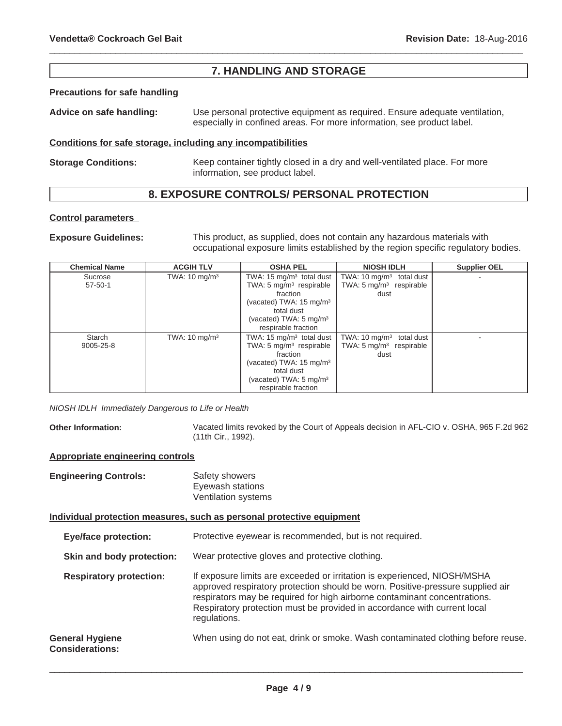## **7. HANDLING AND STORAGE**

 $\_$  ,  $\_$  ,  $\_$  ,  $\_$  ,  $\_$  ,  $\_$  ,  $\_$  ,  $\_$  ,  $\_$  ,  $\_$  ,  $\_$  ,  $\_$  ,  $\_$  ,  $\_$  ,  $\_$  ,  $\_$  ,  $\_$  ,  $\_$  ,  $\_$  ,  $\_$  ,  $\_$  ,  $\_$  ,  $\_$  ,  $\_$  ,  $\_$  ,  $\_$  ,  $\_$  ,  $\_$  ,  $\_$  ,  $\_$  ,  $\_$  ,  $\_$  ,  $\_$  ,  $\_$  ,  $\_$  ,  $\_$  ,  $\_$  ,

#### **Precautions for safe handling**

**Advice on safe handling:** Use personal protective equipment as required. Ensure adequate ventilation, especially in confined areas. For more information, see product label.

#### **Conditions for safe storage, including any incompatibilities**

**Storage Conditions:** Keep container tightly closed in a dry and well-ventilated place. For more information, see product label.

## **8. EXPOSURE CONTROLS/ PERSONAL PROTECTION**

#### **Control parameters**

**Exposure Guidelines:** This product, as supplied, does not contain any hazardous materials with occupational exposure limits established by the region specific regulatory bodies.

| <b>Chemical Name</b> | <b>ACGIH TLV</b>         | <b>OSHA PEL</b>                     | <b>NIOSH IDLH</b>                  | <b>Supplier OEL</b> |
|----------------------|--------------------------|-------------------------------------|------------------------------------|---------------------|
| Sucrose              | TWA: $10 \text{ mg/m}^3$ | TWA: 15 $mq/m3$ total dust          | TWA: 10 $mg/m3$ total dust         |                     |
| $57 - 50 - 1$        |                          | TWA: $5 \text{ mg/m}^3$ respirable  | TWA: $5 \text{ mg/m}^3$ respirable |                     |
|                      |                          | fraction                            | dust                               |                     |
|                      |                          | (vacated) TWA: $15 \text{ mg/m}^3$  |                                    |                     |
|                      |                          | total dust                          |                                    |                     |
|                      |                          | (vacated) TWA: $5 \text{ mg/m}^3$   |                                    |                     |
|                      |                          | respirable fraction                 |                                    |                     |
| Starch               | TWA: $10 \text{ mg/m}^3$ | TWA: $15 \text{ mg/m}^3$ total dust | TWA: 10 $mq/m3$ total dust         |                     |
| 9005-25-8            |                          | TWA: $5 \text{ mg/m}^3$ respirable  | TWA: $5 \text{ mg/m}^3$ respirable |                     |
|                      |                          | fraction                            | dust                               |                     |
|                      |                          | (vacated) TWA: $15 \text{ mg/m}^3$  |                                    |                     |
|                      |                          | total dust                          |                                    |                     |
|                      |                          | (vacated) TWA: $5 \text{ mg/m}^3$   |                                    |                     |
|                      |                          | respirable fraction                 |                                    |                     |

*NIOSH IDLH Immediately Dangerous to Life or Health*

**Other Information:** Vacated limits revoked by the Court of Appeals decision in AFL-CIO v. OSHA, 965 F.2d 962 (11th Cir., 1992).

#### **Appropriate engineering controls**

| <b>Engineering Controls:</b> | Safety showers      |
|------------------------------|---------------------|
|                              | Eyewash stations    |
|                              | Ventilation systems |

#### **Individual protection measures, such as personal protective equipment**

**Eye/face protection:** Protective eyewear is recommended, but is not required.

**Skin and body protection:** Wear protective gloves and protective clothing.

**Respiratory protection:** If exposure limits are exceeded or irritation is experienced, NIOSH/MSHA approved respiratory protection should be worn. Positive-pressure supplied air respirators may be required for high airborne contaminant concentrations. Respiratory protection must be provided in accordance with current local regulations. **General Hygiene** When using do not eat, drink or smoke. Wash contaminated clothing before reuse.

## **Considerations:**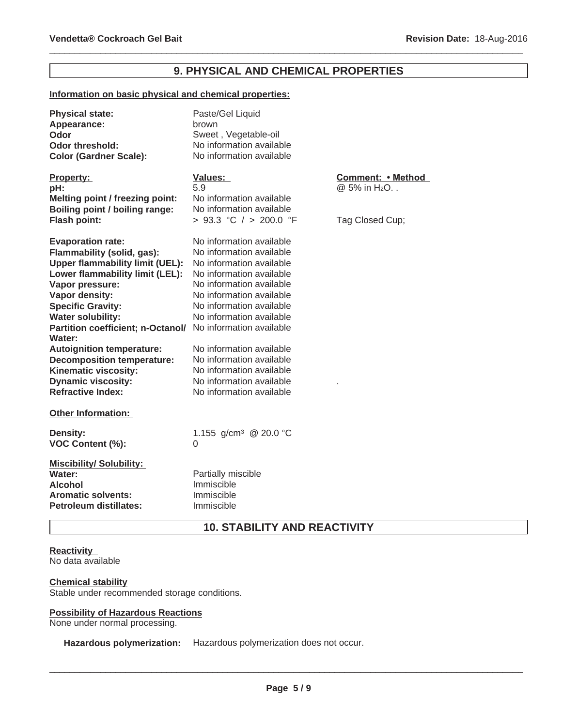## **9. PHYSICAL AND CHEMICAL PROPERTIES**

 $\_$  ,  $\_$  ,  $\_$  ,  $\_$  ,  $\_$  ,  $\_$  ,  $\_$  ,  $\_$  ,  $\_$  ,  $\_$  ,  $\_$  ,  $\_$  ,  $\_$  ,  $\_$  ,  $\_$  ,  $\_$  ,  $\_$  ,  $\_$  ,  $\_$  ,  $\_$  ,  $\_$  ,  $\_$  ,  $\_$  ,  $\_$  ,  $\_$  ,  $\_$  ,  $\_$  ,  $\_$  ,  $\_$  ,  $\_$  ,  $\_$  ,  $\_$  ,  $\_$  ,  $\_$  ,  $\_$  ,  $\_$  ,  $\_$  ,

#### **Information on basic physical and chemical properties:**

| <b>Physical state:</b><br>Appearance:<br>Odor<br><b>Odor threshold:</b><br><b>Color (Gardner Scale):</b>          | Paste/Gel Liquid<br>brown<br>Sweet, Vegetable-oil<br>No information available<br>No information available |                                               |
|-------------------------------------------------------------------------------------------------------------------|-----------------------------------------------------------------------------------------------------------|-----------------------------------------------|
| <b>Property:</b><br>pH:                                                                                           | <b>Values:</b><br>5.9                                                                                     | Comment: • Method<br>@ 5% in H <sub>2</sub> O |
| <b>Melting point / freezing point:</b>                                                                            | No information available                                                                                  |                                               |
| Boiling point / boiling range:                                                                                    | No information available                                                                                  |                                               |
| <b>Flash point:</b>                                                                                               | > 93.3 °C / > 200.0 °F                                                                                    | Tag Closed Cup;                               |
| <b>Evaporation rate:</b>                                                                                          | No information available                                                                                  |                                               |
| Flammability (solid, gas):                                                                                        | No information available                                                                                  |                                               |
| <b>Upper flammability limit (UEL):</b>                                                                            | No information available                                                                                  |                                               |
| Lower flammability limit (LEL):                                                                                   | No information available                                                                                  |                                               |
| Vapor pressure:                                                                                                   | No information available                                                                                  |                                               |
| Vapor density:                                                                                                    | No information available                                                                                  |                                               |
| <b>Specific Gravity:</b>                                                                                          | No information available                                                                                  |                                               |
| <b>Water solubility:</b>                                                                                          | No information available                                                                                  |                                               |
| Partition coefficient; n-Octanol/ No information available<br>Water:                                              |                                                                                                           |                                               |
| <b>Autoignition temperature:</b>                                                                                  | No information available                                                                                  |                                               |
| <b>Decomposition temperature:</b>                                                                                 | No information available                                                                                  |                                               |
| Kinematic viscosity:                                                                                              | No information available                                                                                  |                                               |
| <b>Dynamic viscosity:</b>                                                                                         | No information available                                                                                  |                                               |
| <b>Refractive Index:</b>                                                                                          | No information available                                                                                  |                                               |
| Other Information:                                                                                                |                                                                                                           |                                               |
| <b>Density:</b><br>VOC Content (%):                                                                               | 1.155 g/cm <sup>3</sup> @ 20.0 °C<br>0                                                                    |                                               |
| <b>Miscibility/Solubility:</b><br>Water:<br>Alcohol<br><b>Aromatic solvents:</b><br><b>Petroleum distillates:</b> | Partially miscible<br>Immiscible<br>Immiscible<br>Immiscible                                              |                                               |

## **10. STABILITY AND REACTIVITY**

#### **Reactivity**

No data available

#### **Chemical stability**

Stable under recommended storage conditions.

#### **Possibility of Hazardous Reactions**

None under normal processing.

**Hazardous polymerization:** Hazardous polymerization does not occur.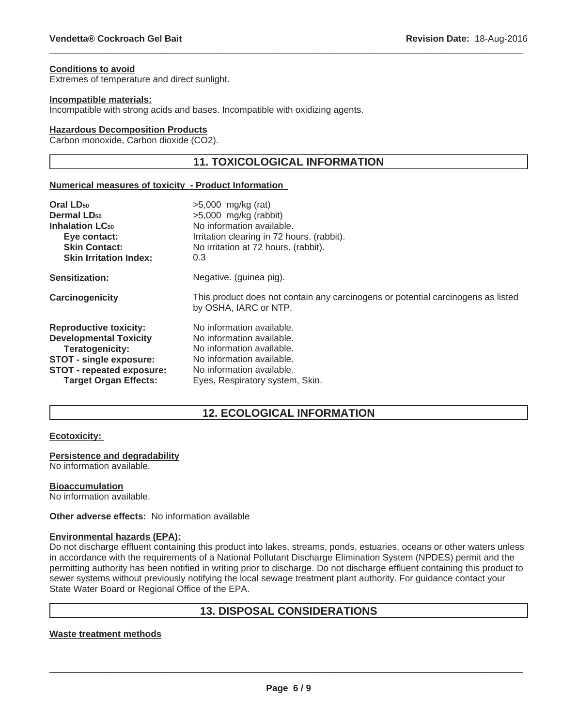#### **Conditions to avoid**

Extremes of temperature and direct sunlight.

#### **Incompatible materials:**

Incompatible with strong acids and bases. Incompatible with oxidizing agents.

#### **Hazardous Decomposition Products**

Carbon monoxide, Carbon dioxide (CO2).

## **11. TOXICOLOGICAL INFORMATION**

 $\_$  ,  $\_$  ,  $\_$  ,  $\_$  ,  $\_$  ,  $\_$  ,  $\_$  ,  $\_$  ,  $\_$  ,  $\_$  ,  $\_$  ,  $\_$  ,  $\_$  ,  $\_$  ,  $\_$  ,  $\_$  ,  $\_$  ,  $\_$  ,  $\_$  ,  $\_$  ,  $\_$  ,  $\_$  ,  $\_$  ,  $\_$  ,  $\_$  ,  $\_$  ,  $\_$  ,  $\_$  ,  $\_$  ,  $\_$  ,  $\_$  ,  $\_$  ,  $\_$  ,  $\_$  ,  $\_$  ,  $\_$  ,  $\_$  ,

#### **Numerical measures of toxicity - Product Information**

| Oral LD <sub>50</sub>             | $>5,000$ mg/kg (rat)                                                                                      |
|-----------------------------------|-----------------------------------------------------------------------------------------------------------|
| <b>Dermal LD<sub>50</sub></b>     | $>5,000$ mg/kg (rabbit)                                                                                   |
| <b>Inhalation LC<sub>50</sub></b> | No information available.                                                                                 |
| Eye contact:                      | Irritation clearing in 72 hours. (rabbit).                                                                |
| <b>Skin Contact:</b>              | No irritation at 72 hours. (rabbit).                                                                      |
| <b>Skin Irritation Index:</b>     | 0.3                                                                                                       |
| Sensitization:                    | Negative. (guinea pig).                                                                                   |
| Carcinogenicity                   | This product does not contain any carcinogens or potential carcinogens as listed<br>by OSHA, IARC or NTP. |
| <b>Reproductive toxicity:</b>     | No information available.                                                                                 |
| <b>Developmental Toxicity</b>     | No information available.                                                                                 |
| Teratogenicity:                   | No information available.                                                                                 |
| STOT - single exposure:           | No information available.                                                                                 |
| STOT - repeated exposure:         | No information available.                                                                                 |
| <b>Target Organ Effects:</b>      | Eyes, Respiratory system, Skin.                                                                           |

## **12. ECOLOGICAL INFORMATION**

#### **Ecotoxicity:**

#### **Persistence and degradability**

No information available.

#### **Bioaccumulation**

No information available.

**Other adverse effects:** No information available

#### **Environmental hazards (EPA):**

Do not discharge effluent containing this product into lakes, streams, ponds, estuaries, oceans or other waters unless in accordance with the requirements of a National Pollutant Discharge Elimination System (NPDES) permit and the permitting authority has been notified in writing prior to discharge. Do not discharge effluent containing this product to sewer systems without previously notifying the local sewage treatment plant authority. For guidance contact your State Water Board or Regional Office of the EPA.

## **13. DISPOSAL CONSIDERATIONS**

#### **Waste treatment methods**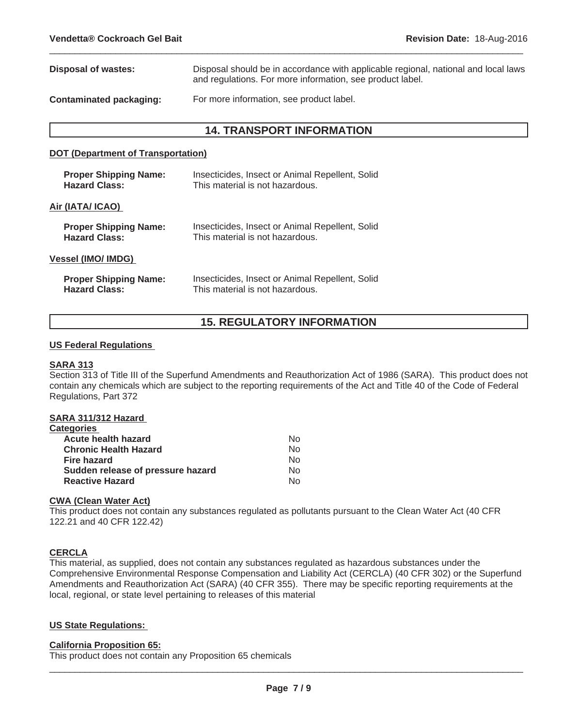| Disposal of wastes:     | Disposal should be in accordance with applicable regional, national and local laws<br>and regulations. For more information, see product label. |
|-------------------------|-------------------------------------------------------------------------------------------------------------------------------------------------|
| Contaminated packaging: | For more information, see product label.                                                                                                        |

 $\_$  ,  $\_$  ,  $\_$  ,  $\_$  ,  $\_$  ,  $\_$  ,  $\_$  ,  $\_$  ,  $\_$  ,  $\_$  ,  $\_$  ,  $\_$  ,  $\_$  ,  $\_$  ,  $\_$  ,  $\_$  ,  $\_$  ,  $\_$  ,  $\_$  ,  $\_$  ,  $\_$  ,  $\_$  ,  $\_$  ,  $\_$  ,  $\_$  ,  $\_$  ,  $\_$  ,  $\_$  ,  $\_$  ,  $\_$  ,  $\_$  ,  $\_$  ,  $\_$  ,  $\_$  ,  $\_$  ,  $\_$  ,  $\_$  ,

## **14. TRANSPORT INFORMATION**

#### **DOT (Department of Transportation)**

| <b>Proper Shipping Name:</b> | Insecticides, Insect or Animal Repellent, Solid |
|------------------------------|-------------------------------------------------|
| <b>Hazard Class:</b>         | This material is not hazardous.                 |
| Air (IATA/ ICAO)             |                                                 |
| <b>Proper Shipping Name:</b> | Insecticides, Insect or Animal Repellent, Solid |
| <b>Hazard Class:</b>         | This material is not hazardous.                 |
| Vessel (IMO/ IMDG)           |                                                 |
| <b>Proper Shipping Name:</b> | Insecticides, Insect or Animal Repellent, Solid |
| <b>Hazard Class:</b>         | This material is not hazardous.                 |

## **15. REGULATORY INFORMATION**

#### **US Federal Regulations**

#### **SARA 313**

Section 313 of Title III of the Superfund Amendments and Reauthorization Act of 1986 (SARA). This product does not contain any chemicals which are subject to the reporting requirements of the Act and Title 40 of the Code of Federal Regulations, Part 372

#### **SARA 311/312 Hazard**

| <b>Categories</b>                 |    |
|-----------------------------------|----|
| Acute health hazard               | No |
| <b>Chronic Health Hazard</b>      | No |
| <b>Fire hazard</b>                | No |
| Sudden release of pressure hazard | No |
| <b>Reactive Hazard</b>            | N٥ |

#### **CWA (Clean Water Act)**

This product does not contain any substances regulated as pollutants pursuant to the Clean Water Act (40 CFR 122.21 and 40 CFR 122.42)

#### **CERCLA**

This material, as supplied, does not contain any substances regulated as hazardous substances under the Comprehensive Environmental Response Compensation and Liability Act (CERCLA) (40 CFR 302) or the Superfund Amendments and Reauthorization Act (SARA) (40 CFR 355). There may be specific reporting requirements at the local, regional, or state level pertaining to releases of this material

#### **US State Regulations:**

#### **California Proposition 65:**

This product does not contain any Proposition 65 chemicals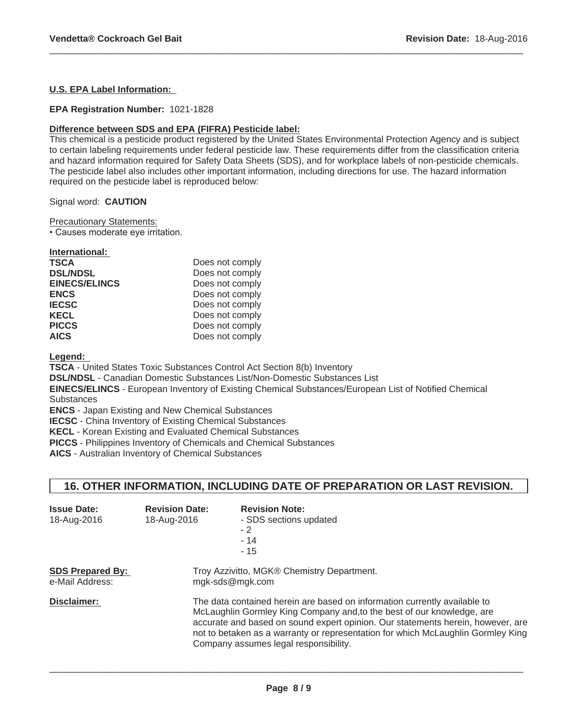#### **U.S. EPA Label Information:**

#### **EPA Registration Number:** 1021-1828

#### **Difference between SDS and EPA (FIFRA) Pesticide label:**

This chemical is a pesticide product registered by the United States Environmental Protection Agency and is subject to certain labeling requirements under federal pesticide law. These requirements differ from the classification criteria and hazard information required for Safety Data Sheets (SDS), and for workplace labels of non-pesticide chemicals. The pesticide label also includes other important information, including directions for use. The hazard information required on the pesticide label is reproduced below:

 $\_$  ,  $\_$  ,  $\_$  ,  $\_$  ,  $\_$  ,  $\_$  ,  $\_$  ,  $\_$  ,  $\_$  ,  $\_$  ,  $\_$  ,  $\_$  ,  $\_$  ,  $\_$  ,  $\_$  ,  $\_$  ,  $\_$  ,  $\_$  ,  $\_$  ,  $\_$  ,  $\_$  ,  $\_$  ,  $\_$  ,  $\_$  ,  $\_$  ,  $\_$  ,  $\_$  ,  $\_$  ,  $\_$  ,  $\_$  ,  $\_$  ,  $\_$  ,  $\_$  ,  $\_$  ,  $\_$  ,  $\_$  ,  $\_$  ,

Signal word: **CAUTION**

Precautionary Statements:

• Causes moderate eye irritation.

| International:       |                 |
|----------------------|-----------------|
| <b>TSCA</b>          | Does not comply |
| <b>DSL/NDSL</b>      | Does not comply |
| <b>EINECS/ELINCS</b> | Does not comply |
| <b>ENCS</b>          | Does not comply |
| <b>IECSC</b>         | Does not comply |
| <b>KECL</b>          | Does not comply |
| <b>PICCS</b>         | Does not comply |
| <b>AICS</b>          | Does not comply |

**Legend:**

**TSCA** - United States Toxic Substances Control Act Section 8(b) Inventory

**DSL/NDSL** - Canadian Domestic Substances List/Non-Domestic Substances List

**EINECS/ELINCS** - European Inventory of Existing Chemical Substances/European List of Notified Chemical **Substances** 

**ENCS** - Japan Existing and New Chemical Substances

**IECSC** - China Inventory of Existing Chemical Substances

**KECL** - Korean Existing and Evaluated Chemical Substances

**PICCS** - Philippines Inventory of Chemicals and Chemical Substances

**AICS** - Australian Inventory of Chemical Substances

## **16. OTHER INFORMATION, INCLUDING DATE OF PREPARATION OR LAST REVISION.**

| <b>Issue Date:</b><br>18-Aug-2016          | <b>Revision Date:</b><br>18-Aug-2016                          | <b>Revision Note:</b><br>- SDS sections updated<br>$-2$<br>$-14$<br>$-15$                                                                                                                                                                                                                                                                                           |  |
|--------------------------------------------|---------------------------------------------------------------|---------------------------------------------------------------------------------------------------------------------------------------------------------------------------------------------------------------------------------------------------------------------------------------------------------------------------------------------------------------------|--|
| <b>SDS Prepared By:</b><br>e-Mail Address: | Troy Azzivitto, MGK® Chemistry Department.<br>mgk-sds@mgk.com |                                                                                                                                                                                                                                                                                                                                                                     |  |
| Disclaimer:                                |                                                               | The data contained herein are based on information currently available to<br>McLaughlin Gormley King Company and, to the best of our knowledge, are<br>accurate and based on sound expert opinion. Our statements herein, however, are<br>not to betaken as a warranty or representation for which McLaughlin Gormley King<br>Company assumes legal responsibility. |  |